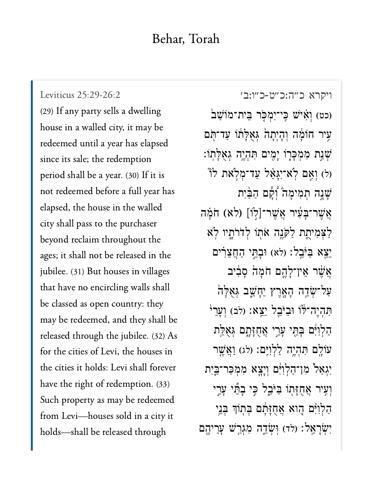## Behar, Torah

[ויקרא כ״ה:כ״ט-כ״ו:ב׳](https://www.sefaria.org/Leviticus%2025:29-26:2) [25:29-26:2 Leviticus](https://www.sefaria.org/Leviticus%2025:29-26:2) (29) If any party sells a dwelling house in a walled city, it may be redeemed until a year has elapsed since its sale; the redemption period shall be a year. (30) If it is not redeemed before a full year has elapsed, the house in the walled city shall pass to the purchaser beyond reclaim throughout the ages; it shall not be released in the jubilee. (31) But houses in villages that have no encircling walls shall be classed as open country: they may be redeemed, and they shall be released through the jubilee. (32) As for the cities of Levi, the houses in the cities it holds: Levi shall forever have the right of redemption. (33) Such property as may be redeemed from Levi—houses sold in a city it holds—shall be released through

(כט) וְאָיֹשׁ כֵּי־יִמְכָּר בֵית־מוֹשַׁב עִיר חוֹמָה וְהָיְתָה גִּאָלָתוֹ עַד־תִּם ֹשְׁנַת מְמְכָּרָוֹ יָמְיִם תְּהָיֵה גְאָלָתוֹ: וֹ וְאֵם לְא־יְגָּאֵ*ּ*ל עַד־מְלְאת לוֹ ַּשֲׁנָה תִמְימַה יְצָ֫ם הַבֵּיִת הָ $\mu$ יִּבְעִיר אֲשֶׁר־[לְוֹ] (לא) חֹמַה ַלַצְמִיחֱת לַקּנֶה אֹתוֹ לְדֹרֹתָיו לְא יֵצֵא בַּיּּבֵל: (לא) וּבָתֵּי הַחֲצֵרִים ְאֲשֶׁר אֵין־לָהֱם חֹמַה סַבִּיב ַעֲל־שְׂדֵה הָאֲרֶץ יֵחָשֵׁב גְּאָלָה ֿתְּהָיֵה־לֹּוֹ וּבַיֹּבֵל יֵצֵא: (לב) וְעֲרֵ<sup>וּ</sup> הַלְוִיֶּם בְּחֵי עָרֵי אֲחֻזָּתֶם גְּאָלַת עֹוֹלֶם תִּהְיֶה לַלְוִיְּם: (לג) וַאֲשֵׁר יִגְאַל<sup>ָ</sup> מִן־הַלְוִיִּם וְיָצֶא מִמְכַּר־בֵּיִת וְעֵיר אֲחֻזַּתוֹ בַּיּּבֵל כֵּי בָהֵّי עַרֵי ְהַלְוִיָּ֫ם הֶוֹא אֲחֻזַּּתָ֫ם בִּתְוֹךְ בְּנֵי יִשְׂרָאֱל: (לד) וְּשָׂדֶה מְגְרֵשׁ עֲרֵיהֵם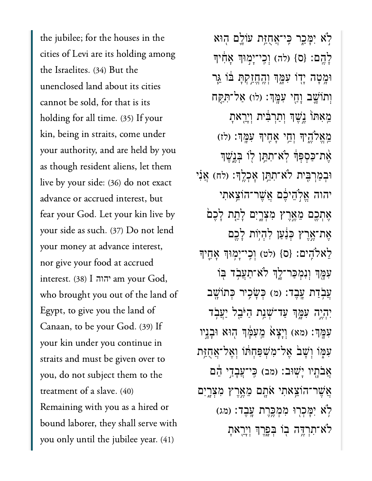the jubilee; for the houses in the cities of Levi are its holding among the Israelites. (34) But the unenclosed land about its cities cannot be sold, for that is its holding for all time. (35) If your kin, being in straits, come under your authority, and are held by you as though resident aliens, let them live by your side: (36) do not exact advance or accrued interest, but fear your God. Let your kin live by your side as such. (37) Do not lend your money at advance interest, nor give your food at accrued interest. (38) I am your God, יהוהwho brought you out of the land of Egypt, to give you the land of Canaan, to be your God. (39) If your kin under you continue in straits and must be given over to you, do not subject them to the treatment of a slave. (40) Remaining with you as a hired or bound laborer, they shall serve with you only until the jubilee year. (41)

לְא יִמְּכֵר כִּי־אֲחֻז*ַּ*ת עֹוֹלֵם הִוּא ְלָהֱם: {ס} (לה) וְכֵי־יָמְוּךְ אֲחָיךְ וּמָטָה יָדָוֹ עִמֶּךְ וְ<u>הֶחֱזִקְתָ</u> בֹּוֹ גֵּר וְתוֹשֵׁב וָחֵי עִמֲךָּ: (לו) אַל־תְּקַח מֵאִתוֹ נֵשֶׁךְ וְתַרְבִּ֫ית וְיָרֵאתָ ְמֶאֱלֹהֵיךְ וְחֵי אָחֶיךָ עָמֶּךְ: (לז) אֶת־כַּסִפְּךָ לְא־תָתֵן לְוֹ בְּנֵ<del>ַ</del>שֵׁךְ ּוּבְמַרְבֵּיִת לֹא־תְחֱן אָכְלֵךְ׃ (לח) אֲנִי יהוה אֱלְהֵיכֶּם אֲשֶׁר־הוֹצֵאתִי ְאֵתְכֵם מֵאֱרֵץ מִצְרָיִם לָתֵת לָכֵם ָאֱת־אֱרֵץ כִּנַּעַן לְהָיִוֹת לַכֵם לְאלֹהָיִם: {ס} (לט) וְכֵי־יָמְוּךְ אָחֱיִךְ ִעְמָ֣ךְ וְנִמְכַּר־לֵ֣ךְ לֹא־תַעֲבָ֫ד בְּוֹ ְעֲבְדַת עֲבֵד: (מ) כְּשָׂכֵיר כְּתוֹשֵׁב יִהְיֶה עִמֶּךְ עַד־שָׁנַת הַיּּבֵל יַעֲבְד ֹעְמֶךָ׃ (מא) וְיָצָא מֵעְמָּׂךְ הְוּא וּבָנֵיו עִמְּוֹ וְשָׁבֹ אֱל־מְשִׁפַּחָתוֹ וְאֱל־אֱחָזֶּת אֲבֹתֶיו יָשְׁוּב: (מב) כִּי־עֲבָדֵי הֵם אֲשֶׁר־הֹוֹצֵאתִי אֹתָם מֵאֲרֵץ מְצְרֵיִם ֹלְאׁ יִמֲכְרִוּ מְמְכֵּרֵת עֲבֵד: (מג) ּלֹא־תְרְדֶּה בְּו בְּפֵרֶךְ וְיַרֵאת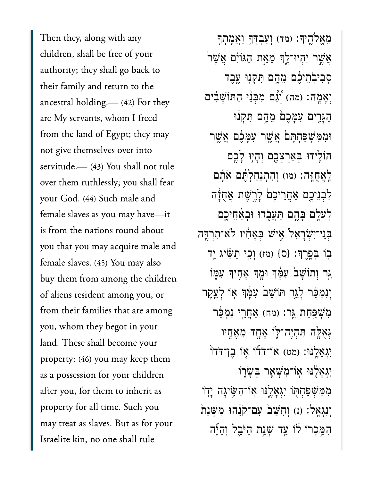Then they, along with any children, shall be free of your authority; they shall go back to their family and return to the ancestral holding.— (42) For they are My servants, whom I freed from the land of Egypt; they may not give themselves over into servitude.— (43) You shall not rule over them ruthlessly; you shall fear your God. (44) Such male and female slaves as you may have—it is from the nations round about you that you may acquire male and female slaves. (45) You may also buy them from among the children of aliens resident among you, or from their families that are among you, whom they begot in your land. These shall become your property: (46) you may keep them as a possession for your children after you, for them to inherit as property for all time. Such you may treat as slaves. But as for your Israelite kin, no one shall rule

ּמֶאֵלֹהֵיךָ׃ (מד) וְעַבְדְּךָּ וַאֲמְתְךָ ֿאֲשֶׁר יִהְיוּ־לֶךְ מֵאֵת הַגּוֹיִם אֲשֶׁר ְסִבִיבְׂתֵיּכֶ֖ם מֵהֵ֣ם תִּקְנִוּ עֵבֵֽד וְאָמָה: (מה) וְّגָם מִבְּנֵי הַתּוֹשָׁבִים הַגָּרִים עִמָּכֵם מֵהֱם תִּקְנֹוּ ּוִמִּמְׁשַּפְחָּת֙ם ֲאֶׁ֣שר ִעָּמֶ֔כם ֲאֶׁ֥שר הוֹלִידוּ בִּאֲרִצְבֵם וְהָיִוּ לָכֵם ַּלְאֲחֶזֶה׃ (מו) וְהִתְנַחַלְהֶם אֹתָם ַּלְבְנֵיכֶם אַחֲרֵיכֶם לָרֱשֶׁת אֲחָזָּה ַּלְעֹלֶם בָּהֱם תַּעֲבָדוּ וּבְאֲחֵיכֵם ְּבֵֽני־ִיְׂשָרֵא֙ל ִ֣איׁש ְּבָאִ֔חיו ֹלא־ִתְרֶּ֥דה בְוֹ בִּפֶּרֵךְ: {ס} (מז) וְכֵי תַּשָּׂיג יַד ּגַּר וְתוֹשָׁב<sup>י</sup> עִמְּךְ וּמֶךְ אָחֶיךָ עִמְּוֹ וְנִמְכַּר לְגֵר תּוֹשָׁב<sup>י</sup> עִמְּ֣דְּ אָוֹ לְעֵקֶר מְ**שִׁפַּחַת גֵּר: (מח) אַחֲרֵי נִמְכַּר**  $\epsilon$ גְּאָלֶּה תְּהָיֵה־לְּוֹ אֵחֲד מֵאֵחָיו יִּגְאֲלֵֽנּוּ: (מט) אוֹ־דֹדוֹ אָוֹ בֵן־דֹּדוֹ יְגָאָלֵ<sup>ּ</sup>נּוּ אָוֹ־מְשָׁאֵר בְּשָׂרֶוֹ ַמְ*ּמְ*ּשְׁפְּחִתְּוֹ יְגְאָלֵֽנּוּ אָוֹ־הִשֶּׂיגָה יָדְוֹ וְנְגְאֲל׃ (נ) וְחָשָׁב עִם־קֹנֶהוּ מְשִׁנַת ּהָמֵּכְרוֹ לֹוֹ עַד שָׁנַת הַיּּבֵל וְהַיָּה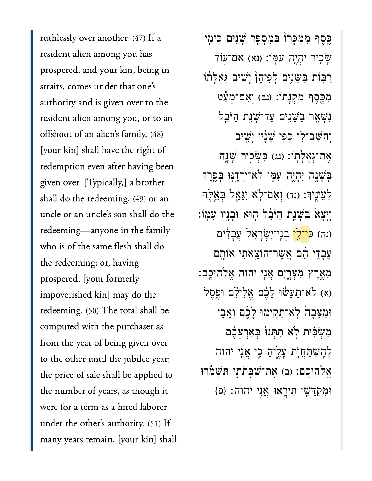ruthlessly over another. (47) If a resident alien among you has prospered, and your kin, being in straits, comes under that one's authority and is given over to the resident alien among you, or to an offshoot of an alien's family, (48) [your kin] shall have the right of redemption even after having been given over. [Typically,] a brother shall do the redeeming, (49) or an uncle or an uncle's son shall do the redeeming—anyone in the family who is of the same flesh shall do the redeeming; or, having prospered, [your formerly impoverished kin] may do the redeeming. (50) The total shall be computed with the purchaser as from the year of being given over to the other until the jubilee year; the price of sale shall be applied to the number of years, as though it were for a term as a hired laborer under the other's authority. (51) If many years remain, [your kin] shall

ַכְּסֵף מְמְכָּרוֹ בִּמְסְפֵּר שָׁנִים כִּימֵי ַּעֲׂכֶיר יִהְיֶה עִמְּוֹ: (נא) אָם־עָוֹד ֿרַבְּוֹת בַּשָּׁנֵים לְפִיהֶן יָּשִׁיב גִּאָלַתוֹ מְבֶסֶף מִקְנָתוֹ: (וּב) וְאָם־מִעַּט נִשְׁאַר בַּשָּׁנֵים עַד־שָׁנַת הַיּּבֵל וְחָשֵׁב־לֶוֹ כְּפִי שָׁנָוֹי יַּשִׁיב אַת־גְאָלָתוֹ: (נג) כִּשְׂכִיר שָׁנֶה ַּבְּשָׁנֶה יְהָיֵה עִמְּוֹ לְאֹ־יִרְדֵּנְוּ בְּפֵרֵך לְעֵינֵיךָ: (נד) וְאָם־לְאׁ יִגְאֵל בְּאֱלֶה וְיָצָאׂ בִּשְׁנֵת הַיּּבֵל הִוּא וּבָנֵיו עִמְוֹ: (נה) כ<mark>ֵּי־לֵי</mark> בְנֵי־יִשְׂרַאֵל עֲבָדְים ְעֲבָדֵי הֵם אֲשֱר־הוֹצֵאתִי אוֹתָם ְמֵאֲרֵץ מְצָרֵיִם אֲנִי יהוה אֱלֹהֵיכֵם: (א) לְא־תַעֲשׁוּ לָבֶם אֱלְילְם וּפֵסֵל וּמַצֵּבָהׂ לְאֹ־תָקִימוּ לָבֶׁם וְאֱבֵן ַמַשְׁכִּית לָא תִתְּנוּ בִּאַרְצָבֵם לְהָשָׁתַּחֲוֹת עָלֵיהָ כֵּי אֲנֵי יהוה ְאֱלֹהֵיכֶם: (ב) אֶת־שַׁבְּתֹתֵי תִּשְׁמֹרוּ וּמִקְדָּשֶׁי תִּירֶאוּ אֲנֵי יהוה: {פ<sup>}</sup>